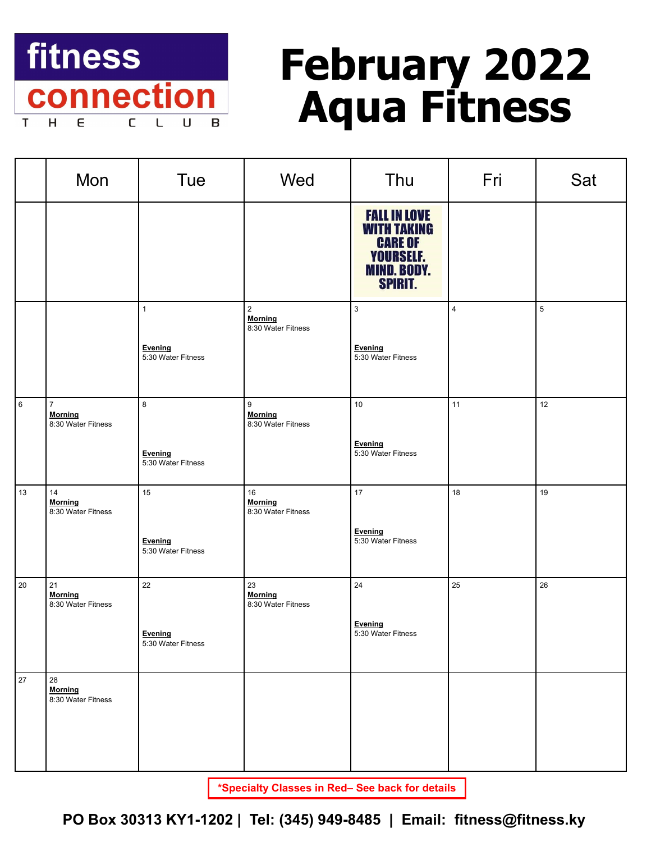

# **February 2022 Aqua Fitness**

|             | Mon                                                    | <b>Tue</b>                                    | Wed                                                      | Thu                                                                                                              | Fri            | Sat            |
|-------------|--------------------------------------------------------|-----------------------------------------------|----------------------------------------------------------|------------------------------------------------------------------------------------------------------------------|----------------|----------------|
|             |                                                        |                                               |                                                          | <b>FALL IN LOVE</b><br><b>WITH TAKING</b><br><b>CARE OF</b><br><b>YOURSELF.</b><br>MIND. BODY.<br><b>SPIRIT.</b> |                |                |
|             |                                                        | $\mathbf{1}$<br>Evening<br>5:30 Water Fitness | $\overline{2}$<br><b>Morning</b><br>8:30 Water Fitness   | $\mathbf{3}$<br>Evening<br>5:30 Water Fitness                                                                    | $\overline{4}$ | $\overline{5}$ |
| $\,$ 6 $\,$ | $\overline{7}$<br><b>Morning</b><br>8:30 Water Fitness | 8<br>Evening<br>5:30 Water Fitness            | $\boldsymbol{9}$<br><b>Morning</b><br>8:30 Water Fitness | 10<br>Evening<br>5:30 Water Fitness                                                                              | 11             | 12             |
| 13          | 14<br><b>Morning</b><br>8:30 Water Fitness             | 15<br>Evening<br>5:30 Water Fitness           | $16\,$<br><b>Morning</b><br>8:30 Water Fitness           | 17<br>Evening<br>5:30 Water Fitness                                                                              | 18             | 19             |
| 20          | 21<br><b>Morning</b><br>8:30 Water Fitness             | 22<br>Evening<br>5:30 Water Fitness           | 23<br><b>Morning</b><br>8:30 Water Fitness               | $24\,$<br>Evening<br>5:30 Water Fitness                                                                          | 25             | 26             |
| 27          | 28<br><b>Morning</b><br>8:30 Water Fitness             |                                               |                                                          |                                                                                                                  |                |                |

**\*Specialty Classes in Red– See back for details**

**PO Box 30313 KY1-1202 | Tel: (345) 949-8485 | Email: fitness@fitness.ky**